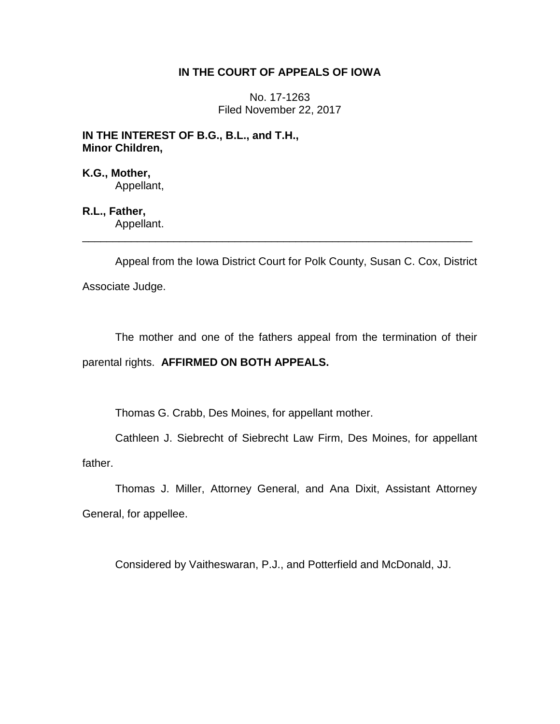# **IN THE COURT OF APPEALS OF IOWA**

No. 17-1263 Filed November 22, 2017

**IN THE INTEREST OF B.G., B.L., and T.H., Minor Children,**

**K.G., Mother,** Appellant,

**R.L., Father,** Appellant. \_\_\_\_\_\_\_\_\_\_\_\_\_\_\_\_\_\_\_\_\_\_\_\_\_\_\_\_\_\_\_\_\_\_\_\_\_\_\_\_\_\_\_\_\_\_\_\_\_\_\_\_\_\_\_\_\_\_\_\_\_\_\_\_

Appeal from the Iowa District Court for Polk County, Susan C. Cox, District Associate Judge.

The mother and one of the fathers appeal from the termination of their parental rights. **AFFIRMED ON BOTH APPEALS.**

Thomas G. Crabb, Des Moines, for appellant mother.

Cathleen J. Siebrecht of Siebrecht Law Firm, Des Moines, for appellant father.

Thomas J. Miller, Attorney General, and Ana Dixit, Assistant Attorney General, for appellee.

Considered by Vaitheswaran, P.J., and Potterfield and McDonald, JJ.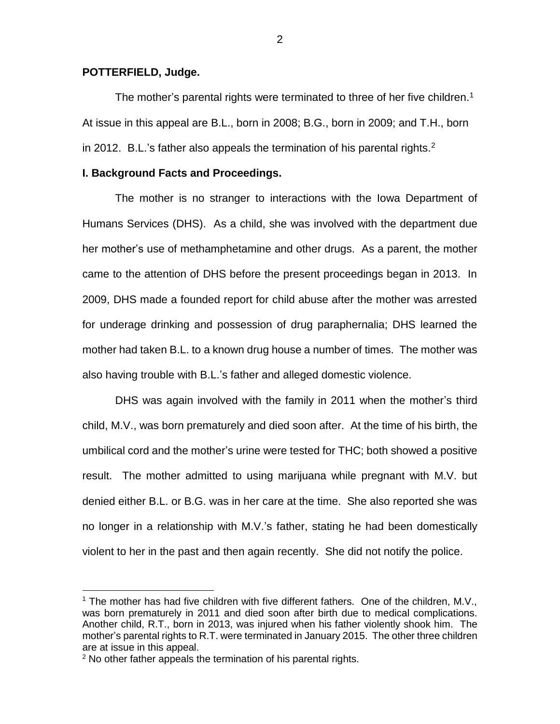### **POTTERFIELD, Judge.**

The mother's parental rights were terminated to three of her five children.<sup>1</sup> At issue in this appeal are B.L., born in 2008; B.G., born in 2009; and T.H., born in 2012. B.L.'s father also appeals the termination of his parental rights.<sup>2</sup>

#### **I. Background Facts and Proceedings.**

The mother is no stranger to interactions with the Iowa Department of Humans Services (DHS). As a child, she was involved with the department due her mother's use of methamphetamine and other drugs. As a parent, the mother came to the attention of DHS before the present proceedings began in 2013. In 2009, DHS made a founded report for child abuse after the mother was arrested for underage drinking and possession of drug paraphernalia; DHS learned the mother had taken B.L. to a known drug house a number of times. The mother was also having trouble with B.L.'s father and alleged domestic violence.

DHS was again involved with the family in 2011 when the mother's third child, M.V., was born prematurely and died soon after. At the time of his birth, the umbilical cord and the mother's urine were tested for THC; both showed a positive result. The mother admitted to using marijuana while pregnant with M.V. but denied either B.L. or B.G. was in her care at the time. She also reported she was no longer in a relationship with M.V.'s father, stating he had been domestically violent to her in the past and then again recently. She did not notify the police.

 $\overline{a}$ 

<sup>&</sup>lt;sup>1</sup> The mother has had five children with five different fathers. One of the children,  $M.V.,$ was born prematurely in 2011 and died soon after birth due to medical complications. Another child, R.T., born in 2013, was injured when his father violently shook him. The mother's parental rights to R.T. were terminated in January 2015. The other three children are at issue in this appeal.

<sup>&</sup>lt;sup>2</sup> No other father appeals the termination of his parental rights.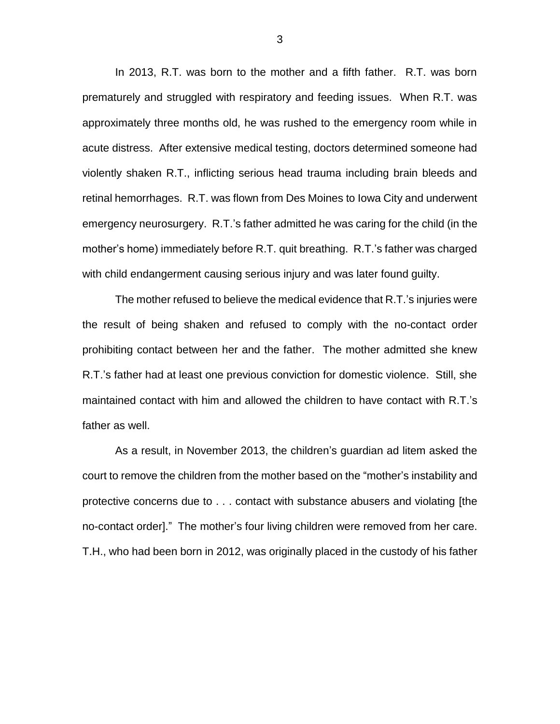In 2013, R.T. was born to the mother and a fifth father. R.T. was born prematurely and struggled with respiratory and feeding issues. When R.T. was approximately three months old, he was rushed to the emergency room while in acute distress. After extensive medical testing, doctors determined someone had violently shaken R.T., inflicting serious head trauma including brain bleeds and retinal hemorrhages. R.T. was flown from Des Moines to Iowa City and underwent emergency neurosurgery. R.T.'s father admitted he was caring for the child (in the mother's home) immediately before R.T. quit breathing. R.T.'s father was charged with child endangerment causing serious injury and was later found guilty.

The mother refused to believe the medical evidence that R.T.'s injuries were the result of being shaken and refused to comply with the no-contact order prohibiting contact between her and the father. The mother admitted she knew R.T.'s father had at least one previous conviction for domestic violence. Still, she maintained contact with him and allowed the children to have contact with R.T.'s father as well.

As a result, in November 2013, the children's guardian ad litem asked the court to remove the children from the mother based on the "mother's instability and protective concerns due to . . . contact with substance abusers and violating [the no-contact order]." The mother's four living children were removed from her care. T.H., who had been born in 2012, was originally placed in the custody of his father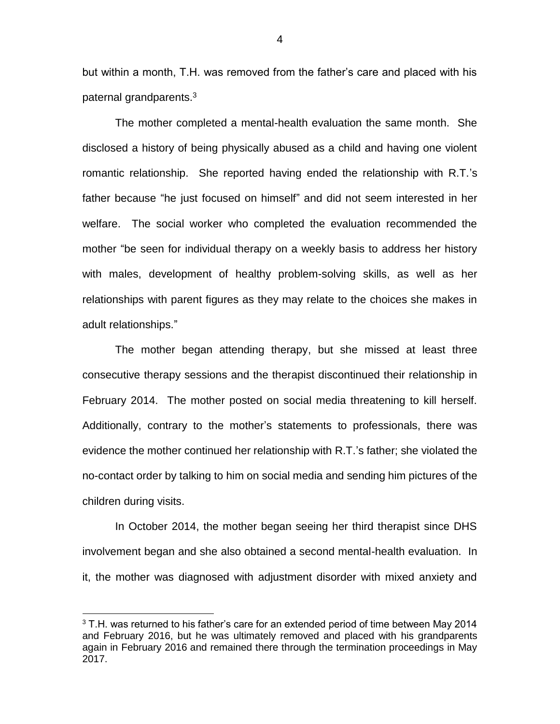but within a month, T.H. was removed from the father's care and placed with his paternal grandparents.<sup>3</sup>

The mother completed a mental-health evaluation the same month. She disclosed a history of being physically abused as a child and having one violent romantic relationship. She reported having ended the relationship with R.T.'s father because "he just focused on himself" and did not seem interested in her welfare. The social worker who completed the evaluation recommended the mother "be seen for individual therapy on a weekly basis to address her history with males, development of healthy problem-solving skills, as well as her relationships with parent figures as they may relate to the choices she makes in adult relationships."

The mother began attending therapy, but she missed at least three consecutive therapy sessions and the therapist discontinued their relationship in February 2014. The mother posted on social media threatening to kill herself. Additionally, contrary to the mother's statements to professionals, there was evidence the mother continued her relationship with R.T.'s father; she violated the no-contact order by talking to him on social media and sending him pictures of the children during visits.

In October 2014, the mother began seeing her third therapist since DHS involvement began and she also obtained a second mental-health evaluation. In it, the mother was diagnosed with adjustment disorder with mixed anxiety and

 $\overline{a}$ 

 $3$  T.H. was returned to his father's care for an extended period of time between May 2014 and February 2016, but he was ultimately removed and placed with his grandparents again in February 2016 and remained there through the termination proceedings in May 2017.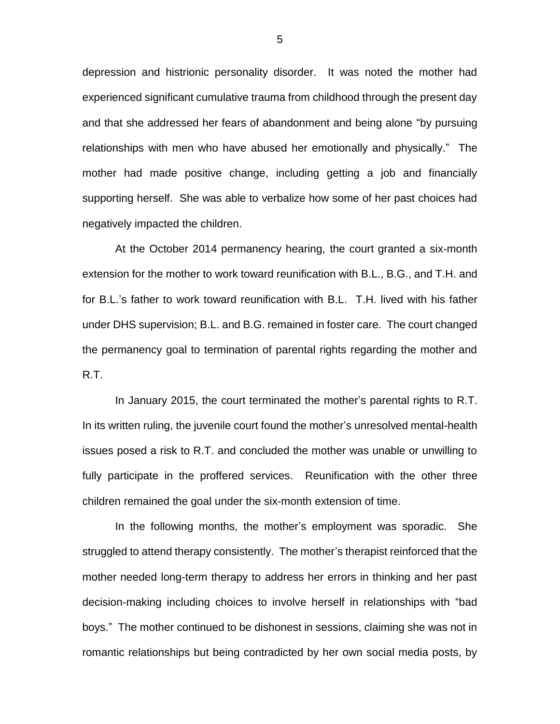depression and histrionic personality disorder. It was noted the mother had experienced significant cumulative trauma from childhood through the present day and that she addressed her fears of abandonment and being alone "by pursuing relationships with men who have abused her emotionally and physically." The mother had made positive change, including getting a job and financially supporting herself. She was able to verbalize how some of her past choices had negatively impacted the children.

At the October 2014 permanency hearing, the court granted a six-month extension for the mother to work toward reunification with B.L., B.G., and T.H. and for B.L.'s father to work toward reunification with B.L. T.H. lived with his father under DHS supervision; B.L. and B.G. remained in foster care. The court changed the permanency goal to termination of parental rights regarding the mother and R.T.

In January 2015, the court terminated the mother's parental rights to R.T. In its written ruling, the juvenile court found the mother's unresolved mental-health issues posed a risk to R.T. and concluded the mother was unable or unwilling to fully participate in the proffered services. Reunification with the other three children remained the goal under the six-month extension of time.

In the following months, the mother's employment was sporadic. She struggled to attend therapy consistently. The mother's therapist reinforced that the mother needed long-term therapy to address her errors in thinking and her past decision-making including choices to involve herself in relationships with "bad boys." The mother continued to be dishonest in sessions, claiming she was not in romantic relationships but being contradicted by her own social media posts, by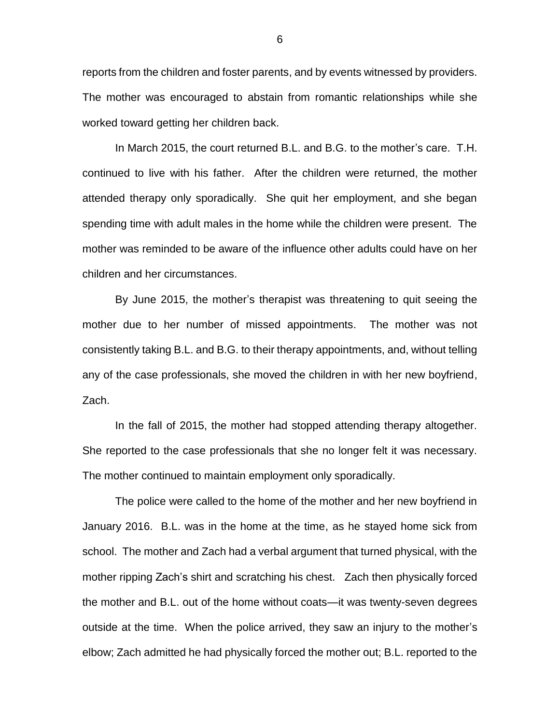reports from the children and foster parents, and by events witnessed by providers. The mother was encouraged to abstain from romantic relationships while she worked toward getting her children back.

In March 2015, the court returned B.L. and B.G. to the mother's care. T.H. continued to live with his father. After the children were returned, the mother attended therapy only sporadically. She quit her employment, and she began spending time with adult males in the home while the children were present. The mother was reminded to be aware of the influence other adults could have on her children and her circumstances.

By June 2015, the mother's therapist was threatening to quit seeing the mother due to her number of missed appointments. The mother was not consistently taking B.L. and B.G. to their therapy appointments, and, without telling any of the case professionals, she moved the children in with her new boyfriend, Zach.

In the fall of 2015, the mother had stopped attending therapy altogether. She reported to the case professionals that she no longer felt it was necessary. The mother continued to maintain employment only sporadically.

The police were called to the home of the mother and her new boyfriend in January 2016. B.L. was in the home at the time, as he stayed home sick from school. The mother and Zach had a verbal argument that turned physical, with the mother ripping Zach's shirt and scratching his chest. Zach then physically forced the mother and B.L. out of the home without coats—it was twenty-seven degrees outside at the time. When the police arrived, they saw an injury to the mother's elbow; Zach admitted he had physically forced the mother out; B.L. reported to the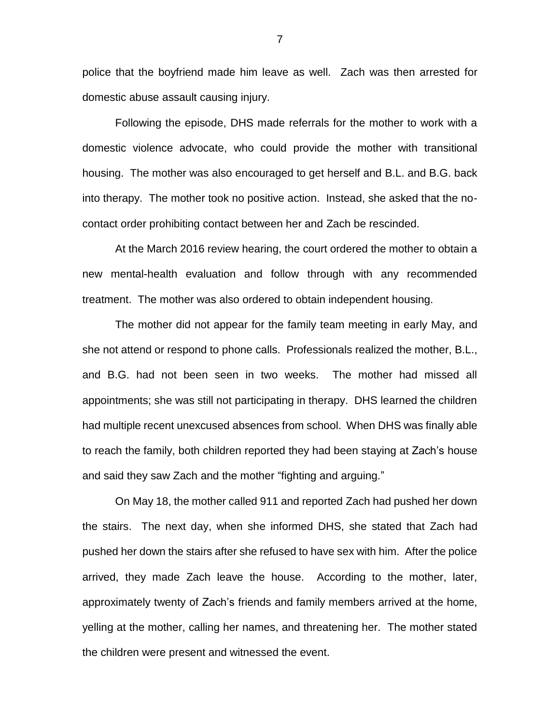police that the boyfriend made him leave as well. Zach was then arrested for domestic abuse assault causing injury.

Following the episode, DHS made referrals for the mother to work with a domestic violence advocate, who could provide the mother with transitional housing. The mother was also encouraged to get herself and B.L. and B.G. back into therapy. The mother took no positive action. Instead, she asked that the nocontact order prohibiting contact between her and Zach be rescinded.

At the March 2016 review hearing, the court ordered the mother to obtain a new mental-health evaluation and follow through with any recommended treatment. The mother was also ordered to obtain independent housing.

The mother did not appear for the family team meeting in early May, and she not attend or respond to phone calls. Professionals realized the mother, B.L., and B.G. had not been seen in two weeks. The mother had missed all appointments; she was still not participating in therapy. DHS learned the children had multiple recent unexcused absences from school. When DHS was finally able to reach the family, both children reported they had been staying at Zach's house and said they saw Zach and the mother "fighting and arguing."

On May 18, the mother called 911 and reported Zach had pushed her down the stairs. The next day, when she informed DHS, she stated that Zach had pushed her down the stairs after she refused to have sex with him. After the police arrived, they made Zach leave the house. According to the mother, later, approximately twenty of Zach's friends and family members arrived at the home, yelling at the mother, calling her names, and threatening her. The mother stated the children were present and witnessed the event.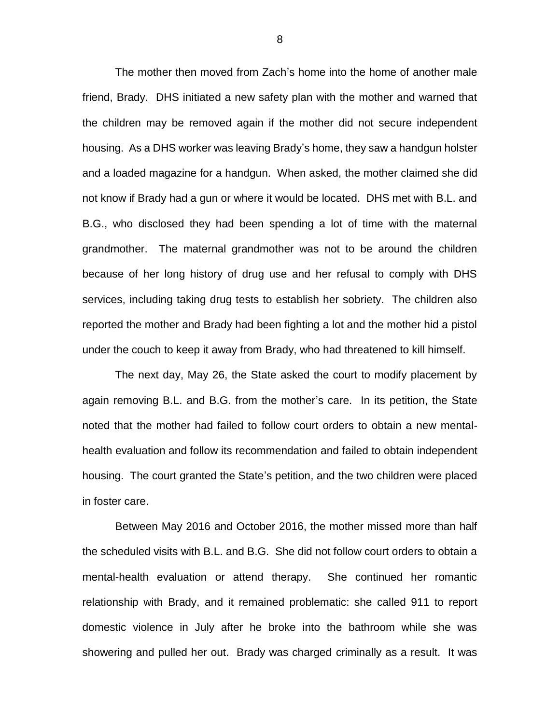The mother then moved from Zach's home into the home of another male friend, Brady. DHS initiated a new safety plan with the mother and warned that the children may be removed again if the mother did not secure independent housing. As a DHS worker was leaving Brady's home, they saw a handgun holster and a loaded magazine for a handgun. When asked, the mother claimed she did not know if Brady had a gun or where it would be located. DHS met with B.L. and B.G., who disclosed they had been spending a lot of time with the maternal grandmother. The maternal grandmother was not to be around the children because of her long history of drug use and her refusal to comply with DHS services, including taking drug tests to establish her sobriety. The children also reported the mother and Brady had been fighting a lot and the mother hid a pistol under the couch to keep it away from Brady, who had threatened to kill himself.

The next day, May 26, the State asked the court to modify placement by again removing B.L. and B.G. from the mother's care. In its petition, the State noted that the mother had failed to follow court orders to obtain a new mentalhealth evaluation and follow its recommendation and failed to obtain independent housing. The court granted the State's petition, and the two children were placed in foster care.

Between May 2016 and October 2016, the mother missed more than half the scheduled visits with B.L. and B.G. She did not follow court orders to obtain a mental-health evaluation or attend therapy. She continued her romantic relationship with Brady, and it remained problematic: she called 911 to report domestic violence in July after he broke into the bathroom while she was showering and pulled her out. Brady was charged criminally as a result. It was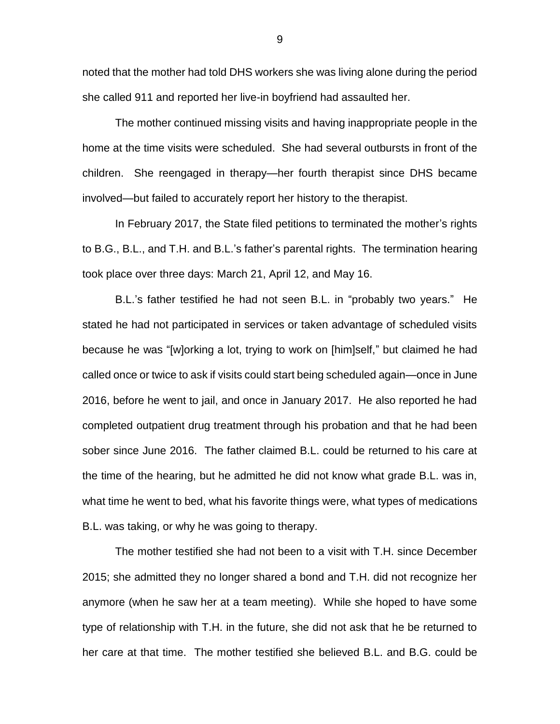noted that the mother had told DHS workers she was living alone during the period she called 911 and reported her live-in boyfriend had assaulted her.

The mother continued missing visits and having inappropriate people in the home at the time visits were scheduled. She had several outbursts in front of the children. She reengaged in therapy—her fourth therapist since DHS became involved—but failed to accurately report her history to the therapist.

In February 2017, the State filed petitions to terminated the mother's rights to B.G., B.L., and T.H. and B.L.'s father's parental rights. The termination hearing took place over three days: March 21, April 12, and May 16.

B.L.'s father testified he had not seen B.L. in "probably two years." He stated he had not participated in services or taken advantage of scheduled visits because he was "[w]orking a lot, trying to work on [him]self," but claimed he had called once or twice to ask if visits could start being scheduled again—once in June 2016, before he went to jail, and once in January 2017. He also reported he had completed outpatient drug treatment through his probation and that he had been sober since June 2016. The father claimed B.L. could be returned to his care at the time of the hearing, but he admitted he did not know what grade B.L. was in, what time he went to bed, what his favorite things were, what types of medications B.L. was taking, or why he was going to therapy.

The mother testified she had not been to a visit with T.H. since December 2015; she admitted they no longer shared a bond and T.H. did not recognize her anymore (when he saw her at a team meeting). While she hoped to have some type of relationship with T.H. in the future, she did not ask that he be returned to her care at that time. The mother testified she believed B.L. and B.G. could be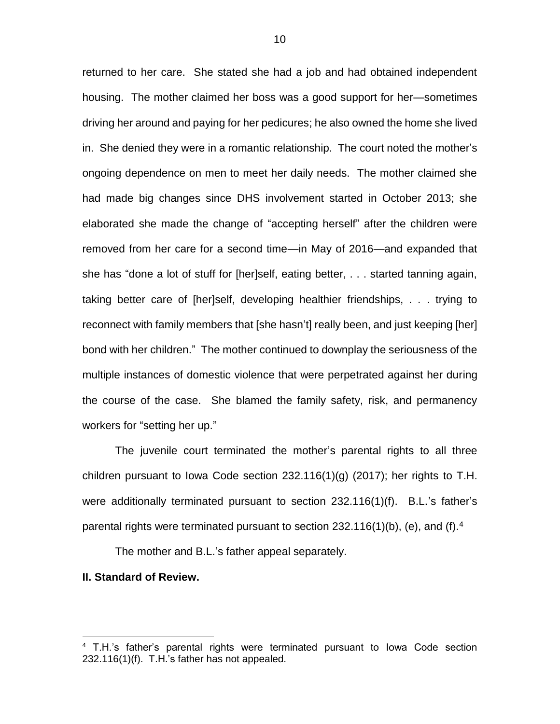returned to her care. She stated she had a job and had obtained independent housing. The mother claimed her boss was a good support for her—sometimes driving her around and paying for her pedicures; he also owned the home she lived in. She denied they were in a romantic relationship. The court noted the mother's ongoing dependence on men to meet her daily needs. The mother claimed she had made big changes since DHS involvement started in October 2013; she elaborated she made the change of "accepting herself" after the children were removed from her care for a second time—in May of 2016—and expanded that she has "done a lot of stuff for [her]self, eating better, . . . started tanning again, taking better care of [her]self, developing healthier friendships, . . . trying to reconnect with family members that [she hasn't] really been, and just keeping [her] bond with her children." The mother continued to downplay the seriousness of the multiple instances of domestic violence that were perpetrated against her during the course of the case. She blamed the family safety, risk, and permanency workers for "setting her up."

The juvenile court terminated the mother's parental rights to all three children pursuant to Iowa Code section  $232.116(1)(g)$  (2017); her rights to T.H. were additionally terminated pursuant to section 232.116(1)(f). B.L.'s father's parental rights were terminated pursuant to section  $232.116(1)(b)$ , (e), and (f).<sup>4</sup>

The mother and B.L.'s father appeal separately.

### **II. Standard of Review.**

 $\overline{a}$ 

<sup>&</sup>lt;sup>4</sup> T.H.'s father's parental rights were terminated pursuant to lowa Code section 232.116(1)(f). T.H.'s father has not appealed.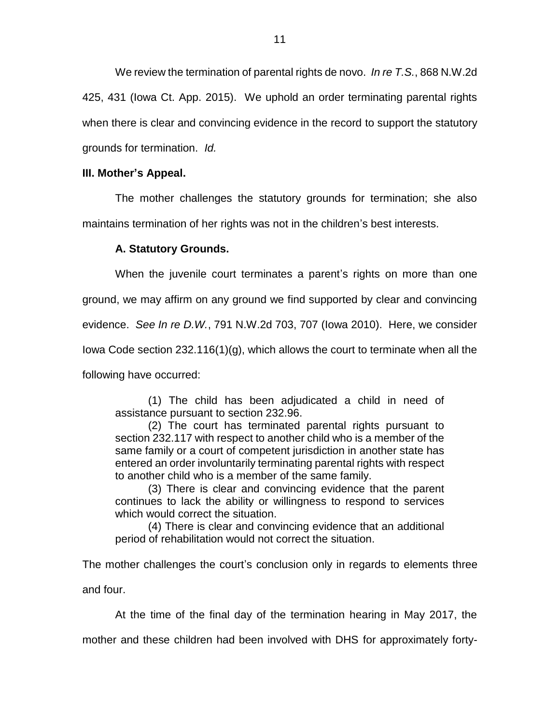We review the termination of parental rights de novo. *In re T.S.*, 868 N.W.2d 425, 431 (Iowa Ct. App. 2015). We uphold an order terminating parental rights when there is clear and convincing evidence in the record to support the statutory grounds for termination. *Id.* 

# **III. Mother's Appeal.**

The mother challenges the statutory grounds for termination; she also maintains termination of her rights was not in the children's best interests.

# **A. Statutory Grounds.**

When the juvenile court terminates a parent's rights on more than one

ground, we may affirm on any ground we find supported by clear and convincing

evidence. *See In re D.W.*, 791 N.W.2d 703, 707 (Iowa 2010). Here, we consider

Iowa Code section 232.116(1)(g), which allows the court to terminate when all the

following have occurred:

(1) The child has been adjudicated a child in need of assistance pursuant to section 232.96.

(2) The court has terminated parental rights pursuant to section 232.117 with respect to another child who is a member of the same family or a court of competent jurisdiction in another state has entered an order involuntarily terminating parental rights with respect to another child who is a member of the same family.

(3) There is clear and convincing evidence that the parent continues to lack the ability or willingness to respond to services which would correct the situation.

(4) There is clear and convincing evidence that an additional period of rehabilitation would not correct the situation.

The mother challenges the court's conclusion only in regards to elements three and four.

At the time of the final day of the termination hearing in May 2017, the

mother and these children had been involved with DHS for approximately forty-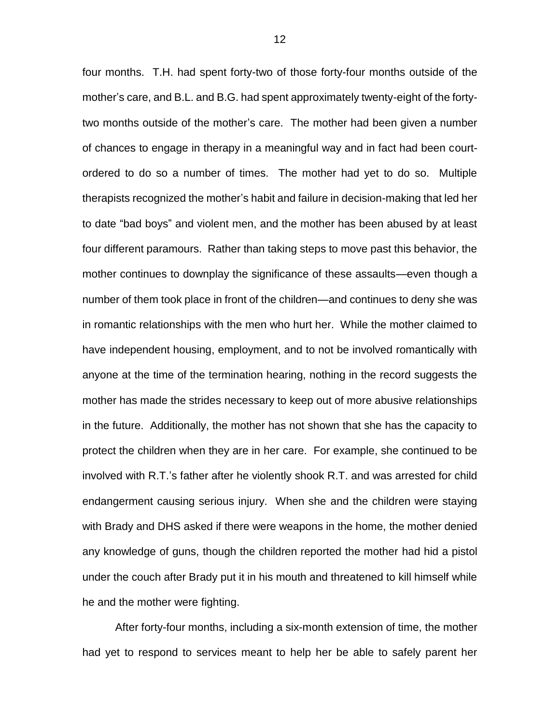four months. T.H. had spent forty-two of those forty-four months outside of the mother's care, and B.L. and B.G. had spent approximately twenty-eight of the fortytwo months outside of the mother's care. The mother had been given a number of chances to engage in therapy in a meaningful way and in fact had been courtordered to do so a number of times. The mother had yet to do so. Multiple therapists recognized the mother's habit and failure in decision-making that led her to date "bad boys" and violent men, and the mother has been abused by at least four different paramours. Rather than taking steps to move past this behavior, the mother continues to downplay the significance of these assaults—even though a number of them took place in front of the children—and continues to deny she was in romantic relationships with the men who hurt her. While the mother claimed to have independent housing, employment, and to not be involved romantically with anyone at the time of the termination hearing, nothing in the record suggests the mother has made the strides necessary to keep out of more abusive relationships in the future. Additionally, the mother has not shown that she has the capacity to protect the children when they are in her care. For example, she continued to be involved with R.T.'s father after he violently shook R.T. and was arrested for child endangerment causing serious injury. When she and the children were staying with Brady and DHS asked if there were weapons in the home, the mother denied any knowledge of guns, though the children reported the mother had hid a pistol under the couch after Brady put it in his mouth and threatened to kill himself while he and the mother were fighting.

After forty-four months, including a six-month extension of time, the mother had yet to respond to services meant to help her be able to safely parent her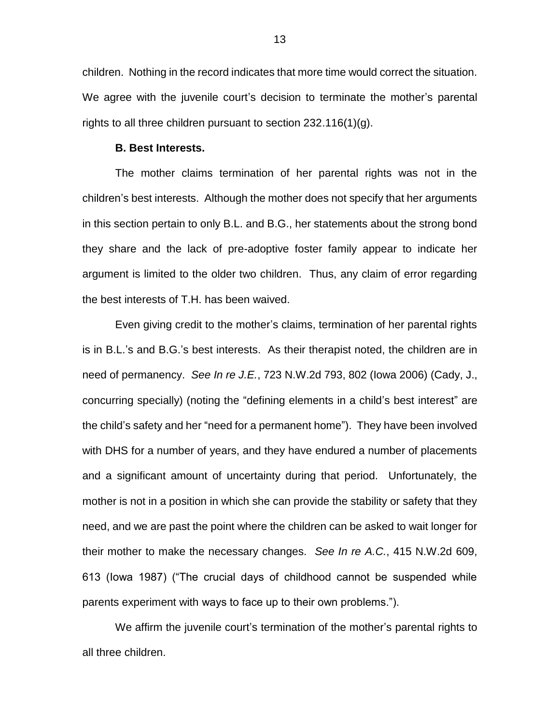children. Nothing in the record indicates that more time would correct the situation. We agree with the juvenile court's decision to terminate the mother's parental rights to all three children pursuant to section 232.116(1)(g).

#### **B. Best Interests.**

The mother claims termination of her parental rights was not in the children's best interests. Although the mother does not specify that her arguments in this section pertain to only B.L. and B.G., her statements about the strong bond they share and the lack of pre-adoptive foster family appear to indicate her argument is limited to the older two children. Thus, any claim of error regarding the best interests of T.H. has been waived.

Even giving credit to the mother's claims, termination of her parental rights is in B.L.'s and B.G.'s best interests. As their therapist noted, the children are in need of permanency. *See In re J.E.*, 723 N.W.2d 793, 802 (Iowa 2006) (Cady, J., concurring specially) (noting the "defining elements in a child's best interest" are the child's safety and her "need for a permanent home"). They have been involved with DHS for a number of years, and they have endured a number of placements and a significant amount of uncertainty during that period. Unfortunately, the mother is not in a position in which she can provide the stability or safety that they need, and we are past the point where the children can be asked to wait longer for their mother to make the necessary changes. *See In re A.C.*, 415 N.W.2d 609, 613 (Iowa 1987) ("The crucial days of childhood cannot be suspended while parents experiment with ways to face up to their own problems.").

We affirm the juvenile court's termination of the mother's parental rights to all three children.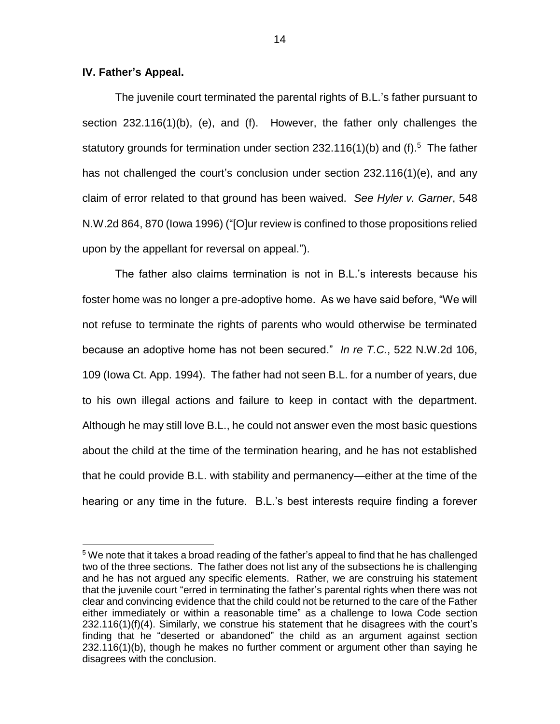### **IV. Father's Appeal.**

 $\overline{a}$ 

The juvenile court terminated the parental rights of B.L.'s father pursuant to section 232.116(1)(b), (e), and (f). However, the father only challenges the statutory grounds for termination under section  $232.116(1)(b)$  and (f).<sup>5</sup> The father has not challenged the court's conclusion under section 232.116(1)(e), and any claim of error related to that ground has been waived. *See Hyler v. Garner*, 548 N.W.2d 864, 870 (Iowa 1996) ("[O]ur review is confined to those propositions relied upon by the appellant for reversal on appeal.").

The father also claims termination is not in B.L.'s interests because his foster home was no longer a pre-adoptive home. As we have said before, "We will not refuse to terminate the rights of parents who would otherwise be terminated because an adoptive home has not been secured." *In re T.C.*, 522 N.W.2d 106, 109 (Iowa Ct. App. 1994). The father had not seen B.L. for a number of years, due to his own illegal actions and failure to keep in contact with the department. Although he may still love B.L., he could not answer even the most basic questions about the child at the time of the termination hearing, and he has not established that he could provide B.L. with stability and permanency—either at the time of the hearing or any time in the future. B.L.'s best interests require finding a forever

<sup>&</sup>lt;sup>5</sup> We note that it takes a broad reading of the father's appeal to find that he has challenged two of the three sections. The father does not list any of the subsections he is challenging and he has not argued any specific elements. Rather, we are construing his statement that the juvenile court "erred in terminating the father's parental rights when there was not clear and convincing evidence that the child could not be returned to the care of the Father either immediately or within a reasonable time" as a challenge to Iowa Code section 232.116(1)(f)(4). Similarly, we construe his statement that he disagrees with the court's finding that he "deserted or abandoned" the child as an argument against section 232.116(1)(b), though he makes no further comment or argument other than saying he disagrees with the conclusion.